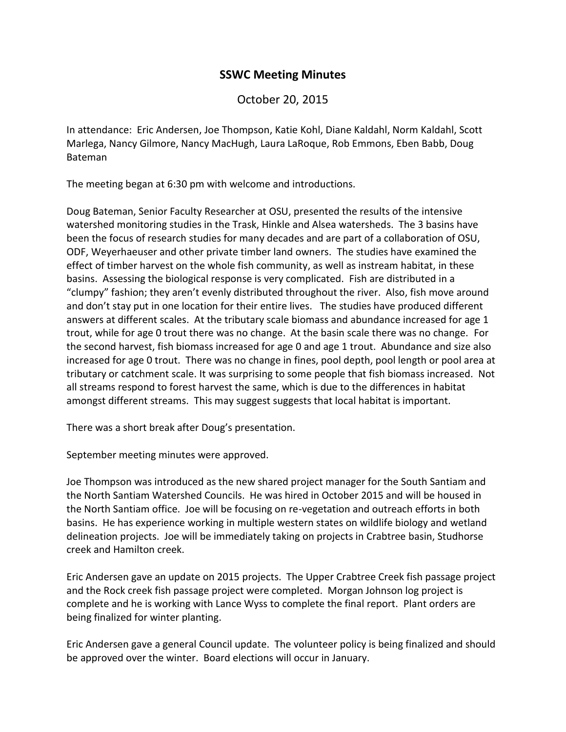## **SSWC Meeting Minutes**

October 20, 2015

In attendance: Eric Andersen, Joe Thompson, Katie Kohl, Diane Kaldahl, Norm Kaldahl, Scott Marlega, Nancy Gilmore, Nancy MacHugh, Laura LaRoque, Rob Emmons, Eben Babb, Doug Bateman

The meeting began at 6:30 pm with welcome and introductions.

Doug Bateman, Senior Faculty Researcher at OSU, presented the results of the intensive watershed monitoring studies in the Trask, Hinkle and Alsea watersheds. The 3 basins have been the focus of research studies for many decades and are part of a collaboration of OSU, ODF, Weyerhaeuser and other private timber land owners. The studies have examined the effect of timber harvest on the whole fish community, as well as instream habitat, in these basins. Assessing the biological response is very complicated. Fish are distributed in a "clumpy" fashion; they aren't evenly distributed throughout the river. Also, fish move around and don't stay put in one location for their entire lives. The studies have produced different answers at different scales. At the tributary scale biomass and abundance increased for age 1 trout, while for age 0 trout there was no change. At the basin scale there was no change. For the second harvest, fish biomass increased for age 0 and age 1 trout. Abundance and size also increased for age 0 trout. There was no change in fines, pool depth, pool length or pool area at tributary or catchment scale. It was surprising to some people that fish biomass increased. Not all streams respond to forest harvest the same, which is due to the differences in habitat amongst different streams. This may suggest suggests that local habitat is important.

There was a short break after Doug's presentation.

September meeting minutes were approved.

Joe Thompson was introduced as the new shared project manager for the South Santiam and the North Santiam Watershed Councils. He was hired in October 2015 and will be housed in the North Santiam office. Joe will be focusing on re-vegetation and outreach efforts in both basins. He has experience working in multiple western states on wildlife biology and wetland delineation projects. Joe will be immediately taking on projects in Crabtree basin, Studhorse creek and Hamilton creek.

Eric Andersen gave an update on 2015 projects. The Upper Crabtree Creek fish passage project and the Rock creek fish passage project were completed. Morgan Johnson log project is complete and he is working with Lance Wyss to complete the final report. Plant orders are being finalized for winter planting.

Eric Andersen gave a general Council update. The volunteer policy is being finalized and should be approved over the winter. Board elections will occur in January.